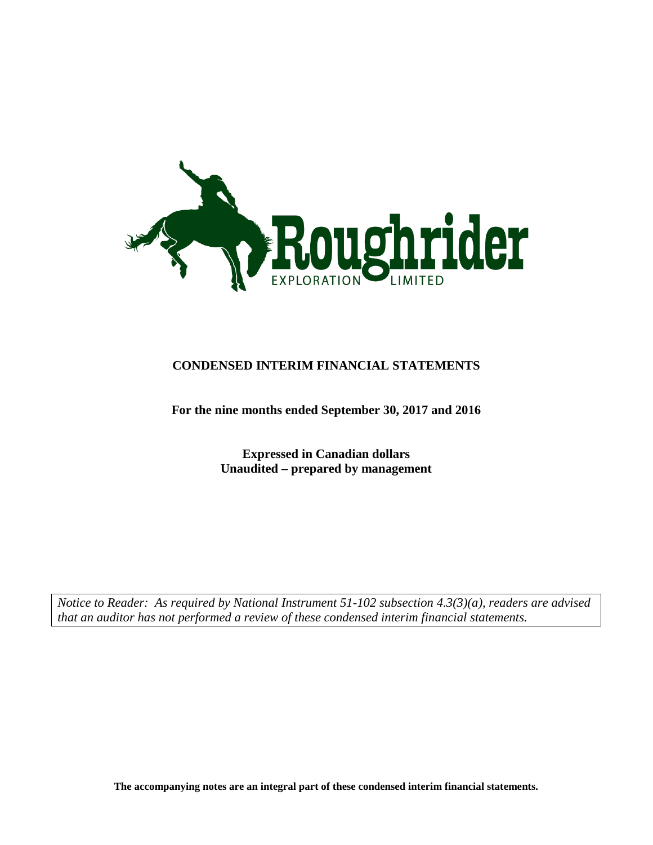

### **CONDENSED INTERIM FINANCIAL STATEMENTS**

### **For the nine months ended September 30, 2017 and 2016**

**Expressed in Canadian dollars Unaudited – prepared by management**

*Notice to Reader: As required by National Instrument 51-102 subsection 4.3(3)(a), readers are advised that an auditor has not performed a review of these condensed interim financial statements.*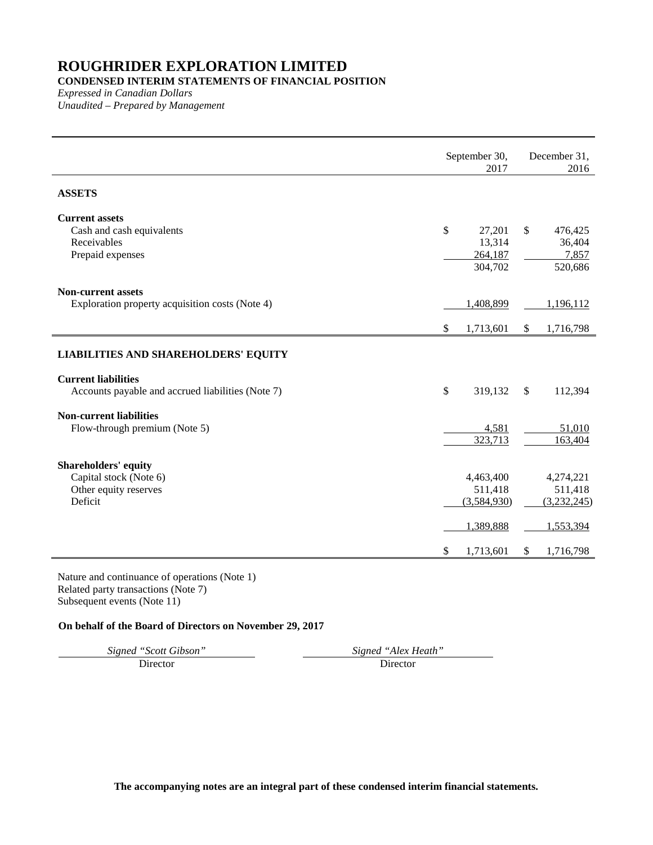### **CONDENSED INTERIM STATEMENTS OF FINANCIAL POSITION**

*Expressed in Canadian Dollars Unaudited – Prepared by Management*

|                                                                                           |      | September 30,<br>2017                            |              | December 31,<br>2016                             |
|-------------------------------------------------------------------------------------------|------|--------------------------------------------------|--------------|--------------------------------------------------|
| <b>ASSETS</b>                                                                             |      |                                                  |              |                                                  |
| <b>Current assets</b><br>Cash and cash equivalents<br>Receivables<br>Prepaid expenses     | \$   | 27,201<br>13,314<br>264,187<br>304,702           | $\mathbb{S}$ | 476,425<br>36,404<br>7,857<br>520,686            |
| <b>Non-current assets</b><br>Exploration property acquisition costs (Note 4)              | \$   | 1,408,899<br>1,713,601                           | \$           | 1,196,112<br>1,716,798                           |
| <b>LIABILITIES AND SHAREHOLDERS' EQUITY</b>                                               |      |                                                  |              |                                                  |
| <b>Current liabilities</b><br>Accounts payable and accrued liabilities (Note 7)           | $\$$ | 319,132                                          | $\mathbb{S}$ | 112,394                                          |
| <b>Non-current liabilities</b><br>Flow-through premium (Note 5)                           |      | 4,581<br>323,713                                 |              | 51,010<br>163,404                                |
| <b>Shareholders' equity</b><br>Capital stock (Note 6)<br>Other equity reserves<br>Deficit |      | 4,463,400<br>511,418<br>(3,584,930)<br>1,389,888 |              | 4,274,221<br>511,418<br>(3,232,245)<br>1,553,394 |
|                                                                                           | \$   | 1,713,601                                        | \$           | 1,716,798                                        |

Nature and continuance of operations (Note 1) Related party transactions (Note 7) Subsequent events (Note 11)

### **On behalf of the Board of Directors on November 29, 2017**

*Signed "Scott Gibson" Signed "Alex Heath"*

Director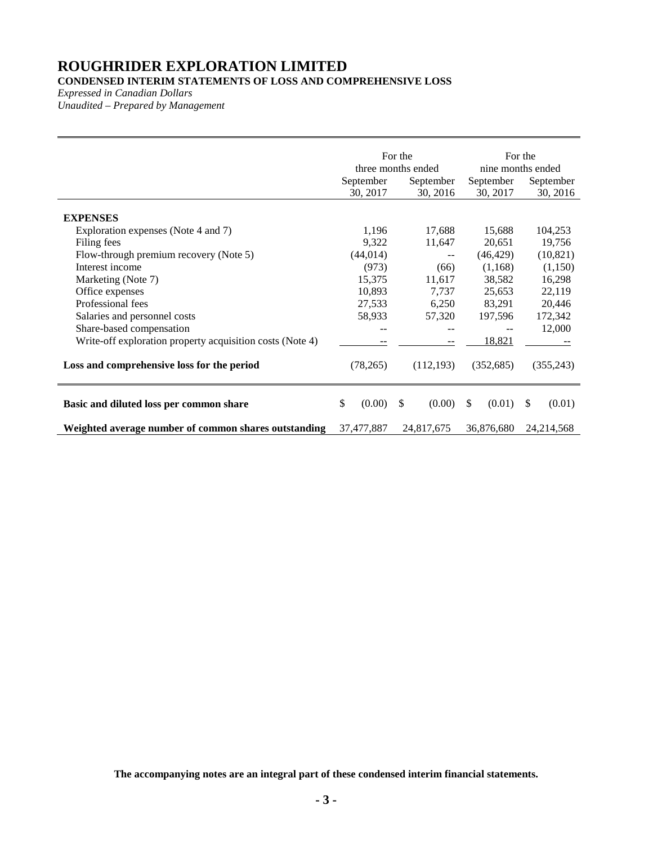### **CONDENSED INTERIM STATEMENTS OF LOSS AND COMPREHENSIVE LOSS**

*Expressed in Canadian Dollars*

*Unaudited – Prepared by Management*

|                                                                                                                                                                                                                                                                                                                                                                         | For the<br>three months ended<br>September<br>September<br>30, 2017<br>30, 2016           |                                                                                       | For the<br>nine months ended<br>September<br>September<br>30, 2016<br>30, 2017                            |                                                                                                            |
|-------------------------------------------------------------------------------------------------------------------------------------------------------------------------------------------------------------------------------------------------------------------------------------------------------------------------------------------------------------------------|-------------------------------------------------------------------------------------------|---------------------------------------------------------------------------------------|-----------------------------------------------------------------------------------------------------------|------------------------------------------------------------------------------------------------------------|
| <b>EXPENSES</b><br>Exploration expenses (Note 4 and 7)<br>Filing fees<br>Flow-through premium recovery (Note 5)<br>Interest income<br>Marketing (Note 7)<br>Office expenses<br>Professional fees<br>Salaries and personnel costs<br>Share-based compensation<br>Write-off exploration property acquisition costs (Note 4)<br>Loss and comprehensive loss for the period | 1,196<br>9,322<br>(44, 014)<br>(973)<br>15,375<br>10,893<br>27,533<br>58,933<br>(78, 265) | 17,688<br>11,647<br>$- -$<br>(66)<br>11,617<br>7,737<br>6,250<br>57,320<br>(112, 193) | 15,688<br>20,651<br>(46, 429)<br>(1,168)<br>38,582<br>25,653<br>83,291<br>197,596<br>18,821<br>(352, 685) | 104,253<br>19,756<br>(10, 821)<br>(1,150)<br>16,298<br>22,119<br>20,446<br>172,342<br>12,000<br>(355, 243) |
| Basic and diluted loss per common share<br>Weighted average number of common shares outstanding                                                                                                                                                                                                                                                                         | \$<br>(0.00)<br>37,477,887                                                                | \$<br>(0.00)<br>24,817,675                                                            | $\mathbb{S}$<br>(0.01)<br>36,876,680                                                                      | (0.01)<br>S.<br>24, 214, 568                                                                               |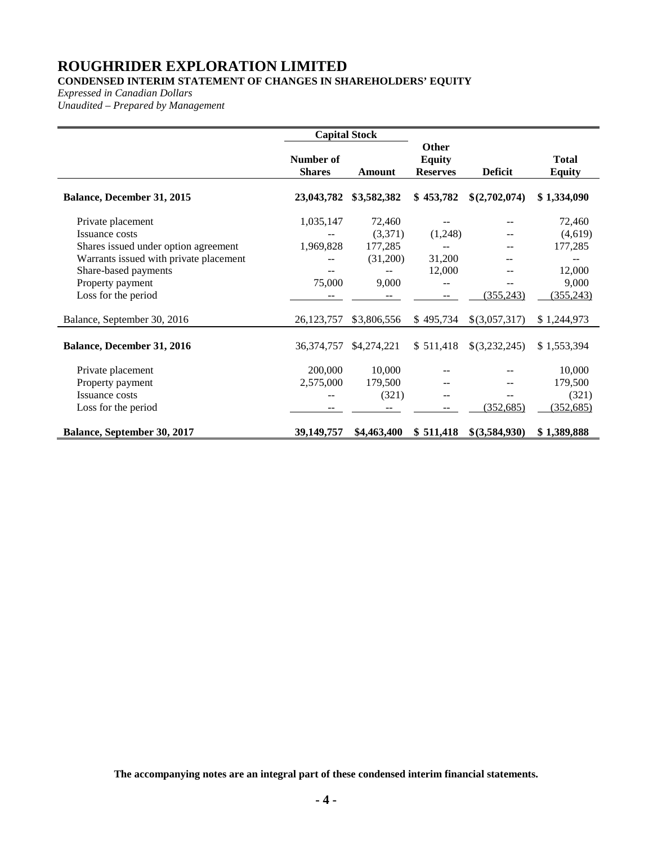### **CONDENSED INTERIM STATEMENT OF CHANGES IN SHAREHOLDERS' EQUITY**

*Expressed in Canadian Dollars*

*Unaudited – Prepared by Management*

|                                                                                                                                                                                          | <b>Capital Stock</b>             |                                                   |                                           |                |                                                                     |
|------------------------------------------------------------------------------------------------------------------------------------------------------------------------------------------|----------------------------------|---------------------------------------------------|-------------------------------------------|----------------|---------------------------------------------------------------------|
|                                                                                                                                                                                          | Number of<br><b>Shares</b>       | Amount                                            | Other<br><b>Equity</b><br><b>Reserves</b> | <b>Deficit</b> | <b>Total</b><br><b>Equity</b>                                       |
| Balance, December 31, 2015                                                                                                                                                               | 23,043,782                       | \$3,582,382                                       | \$453,782                                 | \$(2,702,074)  | \$1,334,090                                                         |
| Private placement<br>Issuance costs<br>Shares issued under option agreement<br>Warrants issued with private placement<br>Share-based payments<br>Property payment<br>Loss for the period | 1,035,147<br>1,969,828<br>75,000 | 72,460<br>(3,371)<br>177,285<br>(31,200)<br>9,000 | (1,248)<br>31,200<br>12,000<br>--         | (355, 243)     | 72,460<br>(4,619)<br>177,285<br>--<br>12,000<br>9,000<br>(355, 243) |
| Balance, September 30, 2016                                                                                                                                                              | 26,123,757                       | \$3,806,556                                       | \$495,734                                 | \$(3,057,317)  | \$1,244,973                                                         |
| <b>Balance, December 31, 2016</b>                                                                                                                                                        | 36, 374, 757                     | \$4,274,221                                       | \$511,418                                 | \$(3,232,245)  | \$1,553,394                                                         |
| Private placement<br>Property payment<br>Issuance costs<br>Loss for the period                                                                                                           | 200,000<br>2,575,000<br>--       | 10,000<br>179,500<br>(321)<br>--                  | $-$                                       | (352, 685)     | 10,000<br>179,500<br>(321)<br>(352, 685)                            |
| Balance, September 30, 2017                                                                                                                                                              | 39,149,757                       | \$4,463,400                                       | \$511,418                                 | \$(3,584,930)  | \$1,389,888                                                         |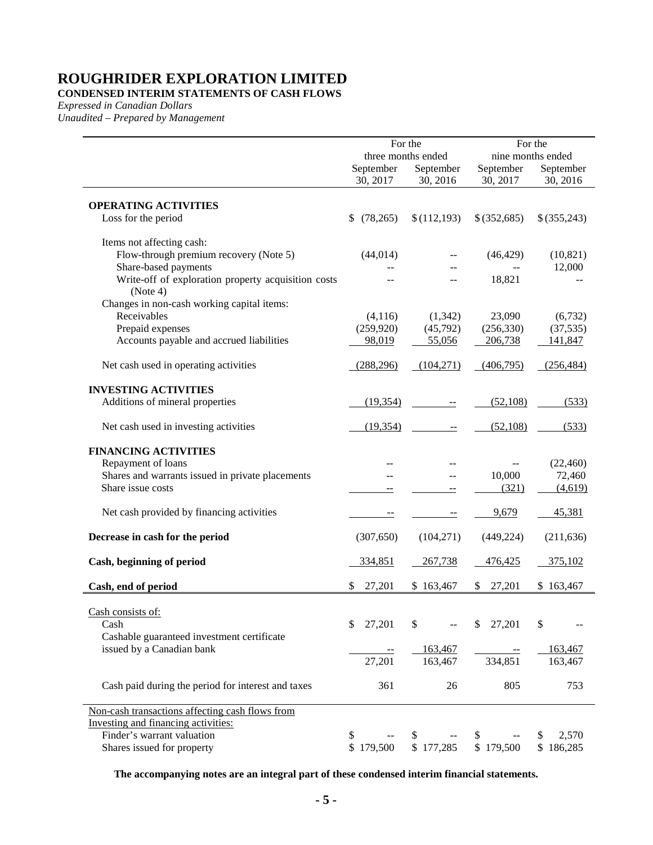### **CONDENSED INTERIM STATEMENTS OF CASH FLOWS**

*Expressed in Canadian Dollars*

*Unaudited – Prepared by Management*

|                                                                 |                                              | For the     |              | For the<br>nine months ended |
|-----------------------------------------------------------------|----------------------------------------------|-------------|--------------|------------------------------|
|                                                                 | three months ended<br>September<br>September |             | September    | September                    |
|                                                                 | 30, 2017                                     | 30, 2016    | 30, 2017     | 30, 2016                     |
| <b>OPERATING ACTIVITIES</b>                                     |                                              |             |              |                              |
| Loss for the period                                             | (78, 265)<br>\$                              | \$(112,193) | \$(352,685)  | \$(355,243)                  |
| Items not affecting cash:                                       |                                              |             |              |                              |
| Flow-through premium recovery (Note 5)                          | (44, 014)                                    |             | (46, 429)    | (10, 821)                    |
| Share-based payments                                            |                                              |             |              | 12,000                       |
| Write-off of exploration property acquisition costs<br>(Note 4) |                                              |             | 18,821       |                              |
| Changes in non-cash working capital items:                      |                                              |             |              |                              |
| Receivables                                                     | (4,116)                                      | (1, 342)    | 23,090       | (6, 732)                     |
| Prepaid expenses                                                | (259, 920)                                   | (45,792)    | (256, 330)   | (37, 535)                    |
| Accounts payable and accrued liabilities                        | 98,019                                       | 55,056      | 206,738      | 141,847                      |
| Net cash used in operating activities                           | (288, 296)                                   | (104,271)   | (406,795)    | (256, 484)                   |
| <b>INVESTING ACTIVITIES</b>                                     |                                              |             |              |                              |
| Additions of mineral properties                                 | (19, 354)                                    |             | (52, 108)    | (533)                        |
| Net cash used in investing activities                           | (19, 354)                                    | --          | (52, 108)    | (533)                        |
| <b>FINANCING ACTIVITIES</b>                                     |                                              |             |              |                              |
| Repayment of loans                                              |                                              |             |              | (22, 460)                    |
| Shares and warrants issued in private placements                |                                              |             | 10,000       | 72,460                       |
| Share issue costs                                               |                                              |             | (321)        | (4,619)                      |
| Net cash provided by financing activities                       | --                                           | --          | 9,679        | 45,381                       |
| Decrease in cash for the period                                 | (307, 650)                                   | (104,271)   | (449, 224)   | (211, 636)                   |
| Cash, beginning of period                                       | 334,851                                      | 267,738     | 476,425      | 375,102                      |
| Cash, end of period                                             | 27,201                                       | \$163,467   | 27,201<br>\$ | \$163,467                    |
| Cash consists of:                                               |                                              |             |              |                              |
| Cash                                                            | 27,201<br>\$                                 | \$          | 27,201<br>\$ | \$                           |
| Cashable guaranteed investment certificate                      |                                              |             |              |                              |
| issued by a Canadian bank                                       |                                              | 163,467     |              | 163,467                      |
|                                                                 | 27,201                                       | 163,467     | 334,851      | 163,467                      |
| Cash paid during the period for interest and taxes              | 361                                          | 26          | 805          | 753                          |
| Non-cash transactions affecting cash flows from                 |                                              |             |              |                              |
| Investing and financing activities:                             |                                              |             |              |                              |
| Finder's warrant valuation                                      |                                              |             |              | 2,570                        |
| Shares issued for property                                      | \$179,500                                    | \$177,285   | \$179,500    | \$186,285                    |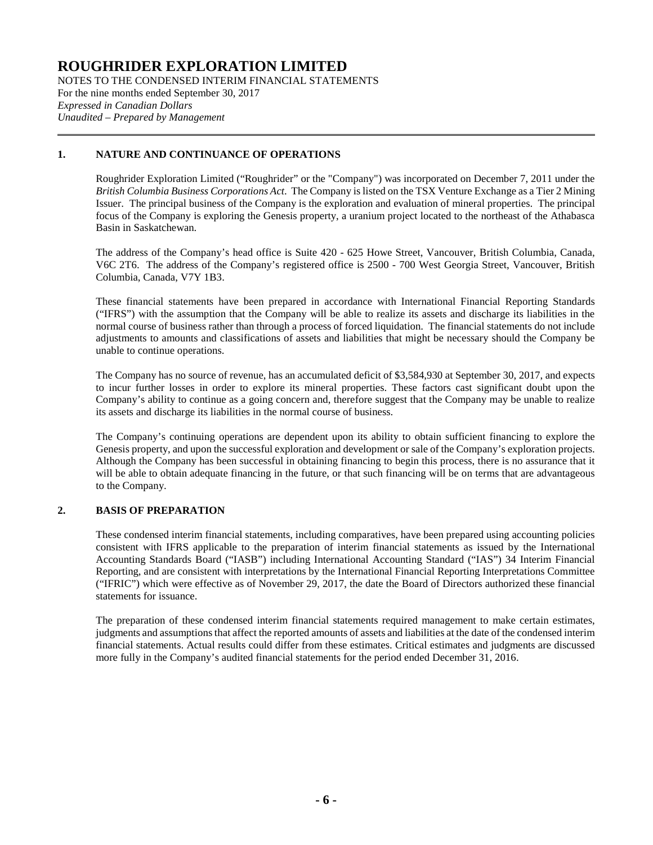NOTES TO THE CONDENSED INTERIM FINANCIAL STATEMENTS For the nine months ended September 30, 2017 *Expressed in Canadian Dollars Unaudited – Prepared by Management*

### **1. NATURE AND CONTINUANCE OF OPERATIONS**

Roughrider Exploration Limited ("Roughrider" or the "Company") was incorporated on December 7, 2011 under the *British Columbia Business Corporations Act*. The Company is listed on the TSX Venture Exchange as a Tier 2 Mining Issuer. The principal business of the Company is the exploration and evaluation of mineral properties. The principal focus of the Company is exploring the Genesis property, a uranium project located to the northeast of the Athabasca Basin in Saskatchewan.

The address of the Company's head office is Suite 420 - 625 Howe Street, Vancouver, British Columbia, Canada, V6C 2T6. The address of the Company's registered office is 2500 - 700 West Georgia Street, Vancouver, British Columbia, Canada, V7Y 1B3.

These financial statements have been prepared in accordance with International Financial Reporting Standards ("IFRS") with the assumption that the Company will be able to realize its assets and discharge its liabilities in the normal course of business rather than through a process of forced liquidation. The financial statements do not include adjustments to amounts and classifications of assets and liabilities that might be necessary should the Company be unable to continue operations.

The Company has no source of revenue, has an accumulated deficit of \$3,584,930 at September 30, 2017, and expects to incur further losses in order to explore its mineral properties. These factors cast significant doubt upon the Company's ability to continue as a going concern and, therefore suggest that the Company may be unable to realize its assets and discharge its liabilities in the normal course of business.

The Company's continuing operations are dependent upon its ability to obtain sufficient financing to explore the Genesis property, and upon the successful exploration and development or sale of the Company's exploration projects. Although the Company has been successful in obtaining financing to begin this process, there is no assurance that it will be able to obtain adequate financing in the future, or that such financing will be on terms that are advantageous to the Company.

### **2. BASIS OF PREPARATION**

These condensed interim financial statements, including comparatives, have been prepared using accounting policies consistent with IFRS applicable to the preparation of interim financial statements as issued by the International Accounting Standards Board ("IASB") including International Accounting Standard ("IAS") 34 Interim Financial Reporting, and are consistent with interpretations by the International Financial Reporting Interpretations Committee ("IFRIC") which were effective as of November 29, 2017, the date the Board of Directors authorized these financial statements for issuance.

The preparation of these condensed interim financial statements required management to make certain estimates, judgments and assumptions that affect the reported amounts of assets and liabilities at the date of the condensed interim financial statements. Actual results could differ from these estimates. Critical estimates and judgments are discussed more fully in the Company's audited financial statements for the period ended December 31, 2016.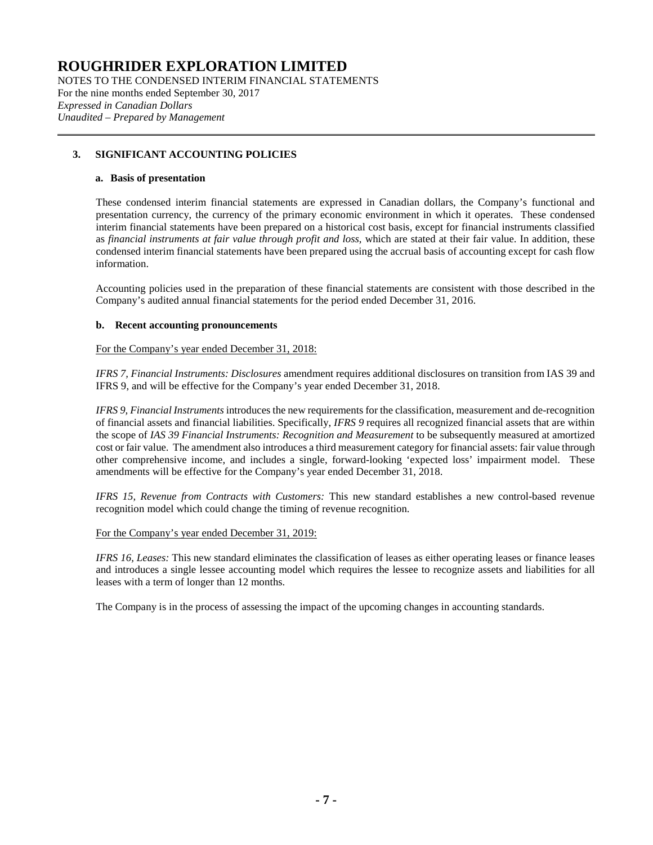NOTES TO THE CONDENSED INTERIM FINANCIAL STATEMENTS For the nine months ended September 30, 2017 *Expressed in Canadian Dollars Unaudited – Prepared by Management*

### **3. SIGNIFICANT ACCOUNTING POLICIES**

### **a. Basis of presentation**

These condensed interim financial statements are expressed in Canadian dollars, the Company's functional and presentation currency, the currency of the primary economic environment in which it operates. These condensed interim financial statements have been prepared on a historical cost basis, except for financial instruments classified as *financial instruments at fair value through profit and loss*, which are stated at their fair value. In addition, these condensed interim financial statements have been prepared using the accrual basis of accounting except for cash flow information.

Accounting policies used in the preparation of these financial statements are consistent with those described in the Company's audited annual financial statements for the period ended December 31, 2016.

### **b. Recent accounting pronouncements**

For the Company's year ended December 31, 2018:

*IFRS 7, Financial Instruments: Disclosures* amendment requires additional disclosures on transition from IAS 39 and IFRS 9, and will be effective for the Company's year ended December 31, 2018.

*IFRS 9, Financial Instruments* introduces the new requirements for the classification, measurement and de-recognition of financial assets and financial liabilities. Specifically, *IFRS 9* requires all recognized financial assets that are within the scope of *IAS 39 Financial Instruments: Recognition and Measurement* to be subsequently measured at amortized cost or fair value. The amendment also introduces a third measurement category for financial assets: fair value through other comprehensive income, and includes a single, forward-looking 'expected loss' impairment model. These amendments will be effective for the Company's year ended December 31, 2018.

*IFRS 15, Revenue from Contracts with Customers:* This new standard establishes a new control-based revenue recognition model which could change the timing of revenue recognition.

#### For the Company's year ended December 31, 2019:

*IFRS 16, Leases:* This new standard eliminates the classification of leases as either operating leases or finance leases and introduces a single lessee accounting model which requires the lessee to recognize assets and liabilities for all leases with a term of longer than 12 months.

The Company is in the process of assessing the impact of the upcoming changes in accounting standards.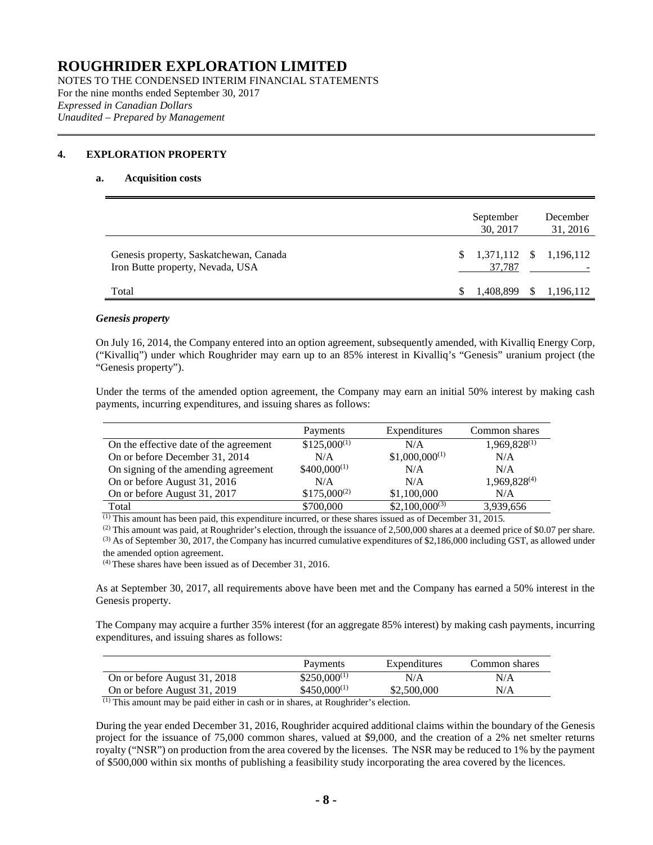NOTES TO THE CONDENSED INTERIM FINANCIAL STATEMENTS For the nine months ended September 30, 2017 *Expressed in Canadian Dollars Unaudited – Prepared by Management*

### <span id="page-7-0"></span>**4. EXPLORATION PROPERTY**

#### **a. Acquisition costs**

|                                                                            | September<br>30, 2017               |          | December<br>31, 2016 |
|----------------------------------------------------------------------------|-------------------------------------|----------|----------------------|
| Genesis property, Saskatchewan, Canada<br>Iron Butte property, Nevada, USA | $$1,371,112$ $$1,196,112$<br>37,787 |          |                      |
| Total                                                                      | 1.408.899                           | <b>S</b> | 1,196,112            |

### *Genesis property*

On July 16, 2014, the Company entered into an option agreement, subsequently amended, with Kivalliq Energy Corp, ("Kivalliq") under which Roughrider may earn up to an 85% interest in Kivalliq's "Genesis" uranium project (the "Genesis property").

Under the terms of the amended option agreement, the Company may earn an initial 50% interest by making cash payments, incurring expenditures, and issuing shares as follows:

|                                        | Payments         | Expenditures       | Common shares     |
|----------------------------------------|------------------|--------------------|-------------------|
| On the effective date of the agreement | $$125,000^{(1)}$ | N/A                | $1,969,828^{(1)}$ |
| On or before December 31, 2014         | N/A              | $$1,000,000^{(1)}$ | N/A               |
| On signing of the amending agreement   | $$400,000^{(1)}$ | N/A                | N/A               |
| On or before August 31, 2016           | N/A              | N/A                | $1,969,828^{(4)}$ |
| On or before August 31, 2017           | $$175,000^{(2)}$ | \$1,100,000        | N/A               |
| Total                                  | \$700,000        | $$2,100,000^{(3)}$ | 3,939,656         |

 $\overline{^{(1)}}$  This amount has been paid, this expenditure incurred, or these shares issued as of December 31, 2015.

(2) This amount was paid, at Roughrider's election, through the issuance of 2,500,000 shares at a deemed price of \$0.07 per share.

 $^{(3)}$  As of September 30, 2017, the Company has incurred cumulative expenditures of \$2,186,000 including GST, as allowed under the amended option agreement.

(4) These shares have been issued as of December 31, 2016.

As at September 30, 2017, all requirements above have been met and the Company has earned a 50% interest in the Genesis property.

The Company may acquire a further 35% interest (for an aggregate 85% interest) by making cash payments, incurring expenditures, and issuing shares as follows:

|                              | Payments         | Expenditures | Common shares |
|------------------------------|------------------|--------------|---------------|
| On or before August 31, 2018 | $$250,000^{(1)}$ | N/A          | N/A           |
| On or before August 31, 2019 | $$450,000^{(1)}$ | \$2,500,000  | N/A           |

(1) This amount may be paid either in cash or in shares, at Roughrider's election.

During the year ended December 31, 2016, Roughrider acquired additional claims within the boundary of the Genesis project for the issuance of 75,000 common shares, valued at \$9,000, and the creation of a 2% net smelter returns royalty ("NSR") on production from the area covered by the licenses. The NSR may be reduced to 1% by the payment of \$500,000 within six months of publishing a feasibility study incorporating the area covered by the licences.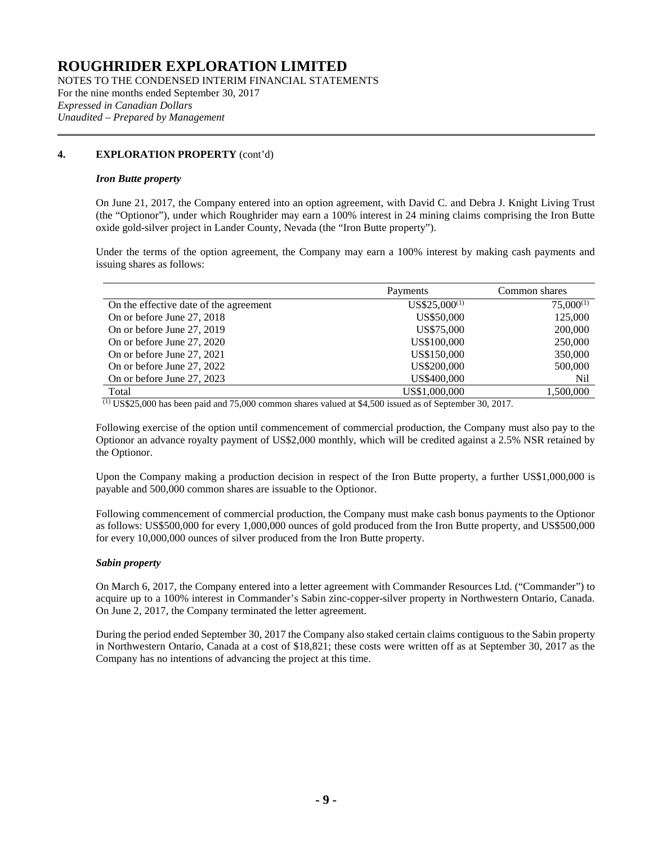NOTES TO THE CONDENSED INTERIM FINANCIAL STATEMENTS For the nine months ended September 30, 2017 *Expressed in Canadian Dollars Unaudited – Prepared by Management*

### **[4.](#page-7-0) EXPLORATION PROPERTY** (cont'd)

### *Iron Butte property*

On June 21, 2017, the Company entered into an option agreement, with David C. and Debra J. Knight Living Trust (the "Optionor"), under which Roughrider may earn a 100% interest in 24 mining claims comprising the Iron Butte oxide gold-silver project in Lander County, Nevada (the "Iron Butte property").

Under the terms of the option agreement, the Company may earn a 100% interest by making cash payments and issuing shares as follows:

|                                        | Payments          | Common shares  |
|----------------------------------------|-------------------|----------------|
| On the effective date of the agreement | $US$25,000^{(1)}$ | $75,000^{(1)}$ |
| On or before June 27, 2018             | US\$50,000        | 125,000        |
| On or before June 27, 2019             | US\$75,000        | 200,000        |
| On or before June 27, 2020             | US\$100,000       | 250,000        |
| On or before June 27, 2021             | US\$150,000       | 350,000        |
| On or before June 27, 2022             | US\$200,000       | 500,000        |
| On or before June 27, 2023             | US\$400,000       | Nil            |
| Total                                  | US\$1,000,000     | 1,500,000      |

 $\overline{^{(1)}}$  US\$25,000 has been paid and 75,000 common shares valued at \$4,500 issued as of September 30, 2017.

Following exercise of the option until commencement of commercial production, the Company must also pay to the Optionor an advance royalty payment of US\$2,000 monthly, which will be credited against a 2.5% NSR retained by the Optionor.

Upon the Company making a production decision in respect of the Iron Butte property, a further US\$1,000,000 is payable and 500,000 common shares are issuable to the Optionor.

Following commencement of commercial production, the Company must make cash bonus payments to the Optionor as follows: US\$500,000 for every 1,000,000 ounces of gold produced from the Iron Butte property, and US\$500,000 for every 10,000,000 ounces of silver produced from the Iron Butte property.

#### *Sabin property*

On March 6, 2017, the Company entered into a letter agreement with Commander Resources Ltd. ("Commander") to acquire up to a 100% interest in Commander's Sabin zinc-copper-silver property in Northwestern Ontario, Canada. On June 2, 2017, the Company terminated the letter agreement.

During the period ended September 30, 2017 the Company also staked certain claims contiguous to the Sabin property in Northwestern Ontario, Canada at a cost of \$18,821; these costs were written off as at September 30, 2017 as the Company has no intentions of advancing the project at this time.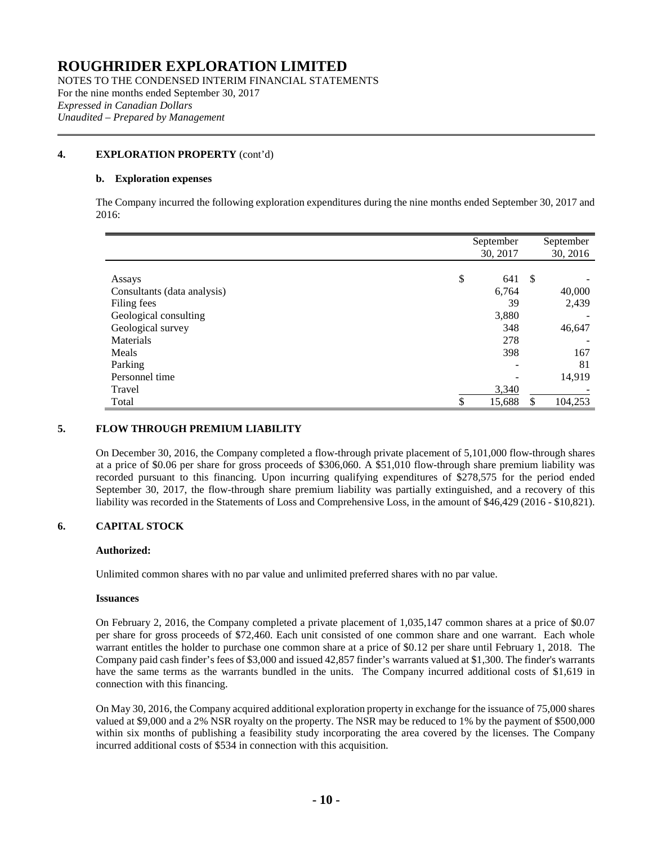NOTES TO THE CONDENSED INTERIM FINANCIAL STATEMENTS For the nine months ended September 30, 2017 *Expressed in Canadian Dollars Unaudited – Prepared by Management*

### **[4.](#page-7-0) EXPLORATION PROPERTY** (cont'd)

### **b. Exploration expenses**

The Company incurred the following exploration expenditures during the nine months ended September 30, 2017 and 2016:

|                             | September    |               | September |
|-----------------------------|--------------|---------------|-----------|
|                             | 30, 2017     |               | 30, 2016  |
|                             |              |               |           |
| Assays                      | \$<br>641    | <sup>\$</sup> |           |
| Consultants (data analysis) | 6,764        |               | 40,000    |
| Filing fees                 | 39           |               | 2,439     |
| Geological consulting       | 3,880        |               |           |
| Geological survey           | 348          |               | 46,647    |
| Materials                   | 278          |               |           |
| Meals                       | 398          |               | 167       |
| Parking                     |              |               | 81        |
| Personnel time              |              |               | 14,919    |
| Travel                      | 3,340        |               |           |
| Total                       | \$<br>15,688 | \$            | 104,253   |

### **5. FLOW THROUGH PREMIUM LIABILITY**

On December 30, 2016, the Company completed a flow-through private placement of 5,101,000 flow-through shares at a price of \$0.06 per share for gross proceeds of \$306,060. A \$51,010 flow-through share premium liability was recorded pursuant to this financing. Upon incurring qualifying expenditures of \$278,575 for the period ended September 30, 2017, the flow-through share premium liability was partially extinguished, and a recovery of this liability was recorded in the Statements of Loss and Comprehensive Loss, in the amount of \$46,429 (2016 - \$10,821).

### **6. CAPITAL STOCK**

### **Authorized:**

Unlimited common shares with no par value and unlimited preferred shares with no par value.

#### **Issuances**

On February 2, 2016, the Company completed a private placement of 1,035,147 common shares at a price of \$0.07 per share for gross proceeds of \$72,460. Each unit consisted of one common share and one warrant. Each whole warrant entitles the holder to purchase one common share at a price of \$0.12 per share until February 1, 2018. The Company paid cash finder's fees of \$3,000 and issued 42,857 finder's warrants valued at \$1,300. The finder's warrants have the same terms as the warrants bundled in the units. The Company incurred additional costs of \$1,619 in connection with this financing.

On May 30, 2016, the Company acquired additional exploration property in exchange for the issuance of 75,000 shares valued at \$9,000 and a 2% NSR royalty on the property. The NSR may be reduced to 1% by the payment of \$500,000 within six months of publishing a feasibility study incorporating the area covered by the licenses. The Company incurred additional costs of \$534 in connection with this acquisition.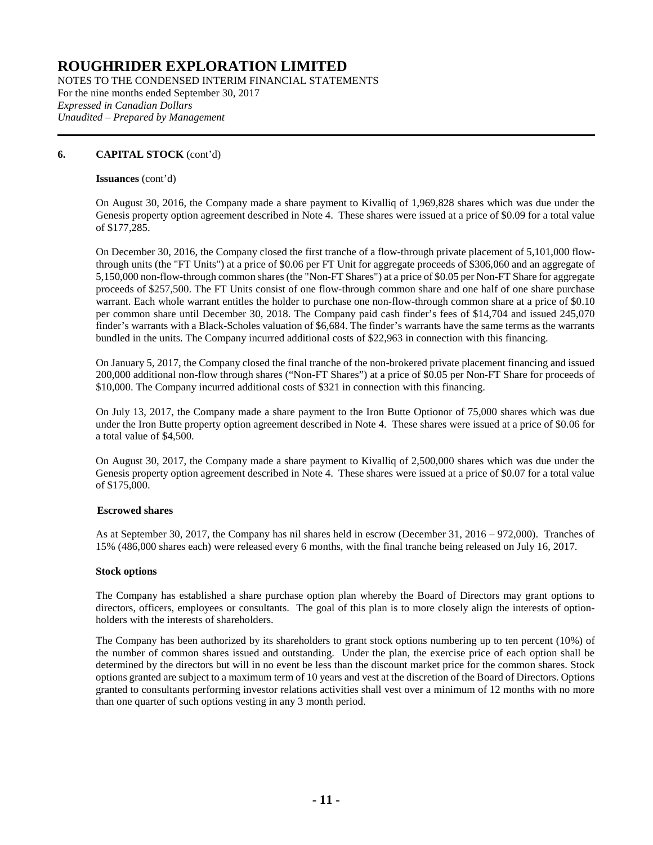NOTES TO THE CONDENSED INTERIM FINANCIAL STATEMENTS For the nine months ended September 30, 2017 *Expressed in Canadian Dollars Unaudited – Prepared by Management*

### **6. CAPITAL STOCK** (cont'd)

### **Issuances** (cont'd)

On August 30, 2016, the Company made a share payment to Kivalliq of 1,969,828 shares which was due under the Genesis property option agreement described in Note 4. These shares were issued at a price of \$0.09 for a total value of \$177,285.

On December 30, 2016, the Company closed the first tranche of a flow-through private placement of 5,101,000 flowthrough units (the "FT Units") at a price of \$0.06 per FT Unit for aggregate proceeds of \$306,060 and an aggregate of 5,150,000 non-flow-through common shares (the "Non-FT Shares") at a price of \$0.05 per Non-FT Share for aggregate proceeds of \$257,500. The FT Units consist of one flow-through common share and one half of one share purchase warrant. Each whole warrant entitles the holder to purchase one non-flow-through common share at a price of \$0.10 per common share until December 30, 2018. The Company paid cash finder's fees of \$14,704 and issued 245,070 finder's warrants with a Black-Scholes valuation of \$6,684. The finder's warrants have the same terms as the warrants bundled in the units. The Company incurred additional costs of \$22,963 in connection with this financing.

On January 5, 2017, the Company closed the final tranche of the non-brokered private placement financing and issued 200,000 additional non-flow through shares ("Non-FT Shares") at a price of \$0.05 per Non-FT Share for proceeds of \$10,000. The Company incurred additional costs of \$321 in connection with this financing.

On July 13, 2017, the Company made a share payment to the Iron Butte Optionor of 75,000 shares which was due under the Iron Butte property option agreement described in Note 4. These shares were issued at a price of \$0.06 for a total value of \$4,500.

On August 30, 2017, the Company made a share payment to Kivalliq of 2,500,000 shares which was due under the Genesis property option agreement described in Note 4. These shares were issued at a price of \$0.07 for a total value of \$175,000.

### **Escrowed shares**

As at September 30, 2017, the Company has nil shares held in escrow (December 31, 2016 – 972,000). Tranches of 15% (486,000 shares each) were released every 6 months, with the final tranche being released on July 16, 2017.

### **Stock options**

The Company has established a share purchase option plan whereby the Board of Directors may grant options to directors, officers, employees or consultants. The goal of this plan is to more closely align the interests of optionholders with the interests of shareholders.

The Company has been authorized by its shareholders to grant stock options numbering up to ten percent (10%) of the number of common shares issued and outstanding. Under the plan, the exercise price of each option shall be determined by the directors but will in no event be less than the discount market price for the common shares. Stock options granted are subject to a maximum term of 10 years and vest at the discretion of the Board of Directors. Options granted to consultants performing investor relations activities shall vest over a minimum of 12 months with no more than one quarter of such options vesting in any 3 month period.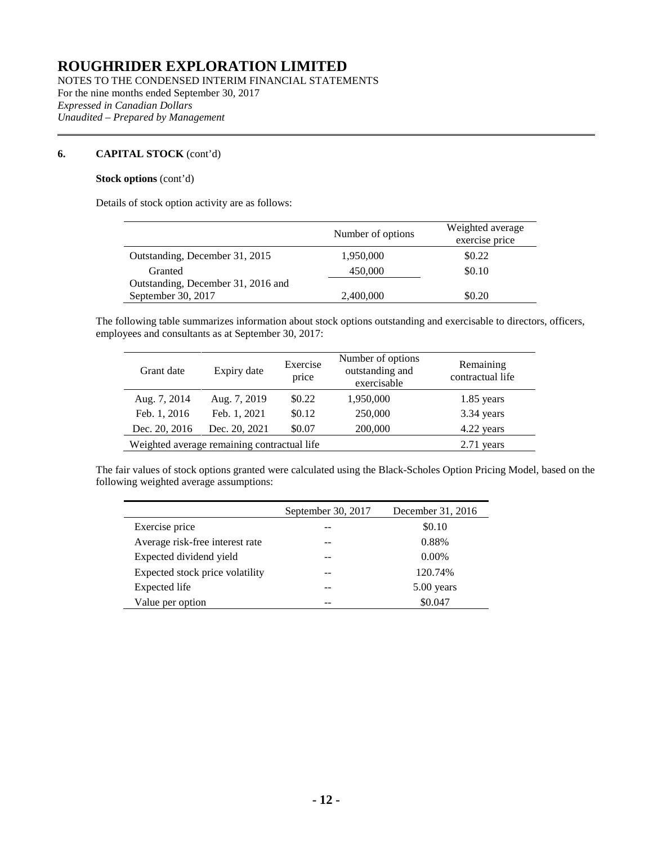NOTES TO THE CONDENSED INTERIM FINANCIAL STATEMENTS For the nine months ended September 30, 2017 *Expressed in Canadian Dollars Unaudited – Prepared by Management*

### **6. CAPITAL STOCK** (cont'd)

 $\mathbf{r}$ 

### **Stock options** (cont'd)

Details of stock option activity are as follows:

|                                    | Number of options | Weighted average |
|------------------------------------|-------------------|------------------|
|                                    |                   | exercise price   |
| Outstanding, December 31, 2015     | 1,950,000         | \$0.22           |
| Granted                            | 450,000           | \$0.10           |
| Outstanding, December 31, 2016 and |                   |                  |
| September 30, 2017                 | 2,400,000         | \$0.20           |

The following table summarizes information about stock options outstanding and exercisable to directors, officers, employees and consultants as at September 30, 2017:

| Grant date    | Expiry date                                 | Exercise<br>price | Number of options<br>outstanding and<br>exercisable | Remaining<br>contractual life |
|---------------|---------------------------------------------|-------------------|-----------------------------------------------------|-------------------------------|
| Aug. 7, 2014  | Aug. 7, 2019                                | \$0.22            | 1,950,000                                           | $1.85$ years                  |
| Feb. 1, 2016  | Feb. 1, 2021                                | \$0.12            | 250,000                                             | 3.34 years                    |
| Dec. 20, 2016 | Dec. 20, 2021                               | \$0.07            | 200,000                                             | 4.22 years                    |
|               | Weighted average remaining contractual life |                   |                                                     | $2.71$ years                  |

The fair values of stock options granted were calculated using the Black-Scholes Option Pricing Model, based on the following weighted average assumptions:

|                                 | September 30, 2017 | December 31, 2016 |
|---------------------------------|--------------------|-------------------|
| Exercise price                  |                    | \$0.10            |
| Average risk-free interest rate |                    | 0.88%             |
| Expected dividend yield         |                    | $0.00\%$          |
| Expected stock price volatility |                    | 120.74%           |
| Expected life                   |                    | $5.00$ years      |
| Value per option                |                    | \$0.047           |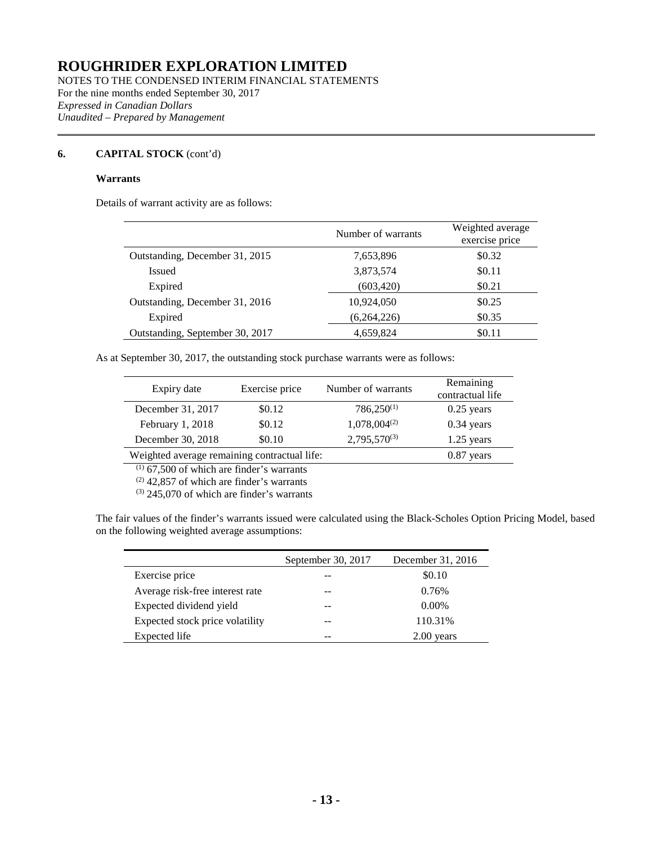NOTES TO THE CONDENSED INTERIM FINANCIAL STATEMENTS For the nine months ended September 30, 2017 *Expressed in Canadian Dollars Unaudited – Prepared by Management*

### **6. CAPITAL STOCK** (cont'd)

### **Warrants**

Details of warrant activity are as follows:

|                                 | Number of warrants | Weighted average<br>exercise price |
|---------------------------------|--------------------|------------------------------------|
| Outstanding, December 31, 2015  | 7,653,896          | \$0.32                             |
| <b>Issued</b>                   | 3,873,574          | \$0.11                             |
| Expired                         | (603, 420)         | \$0.21                             |
| Outstanding, December 31, 2016  | 10,924,050         | \$0.25                             |
| Expired                         | (6,264,226)        | \$0.35                             |
| Outstanding, September 30, 2017 | 4,659,824          | \$0.11                             |

As at September 30, 2017, the outstanding stock purchase warrants were as follows:

| Expiry date                                  | Exercise price | Number of warrants | Remaining<br>contractual life |
|----------------------------------------------|----------------|--------------------|-------------------------------|
| December 31, 2017                            | \$0.12         | $786,250^{(1)}$    | $0.25$ years                  |
| February 1, 2018                             | \$0.12         | $1,078,004^{(2)}$  | $0.34$ years                  |
| December 30, 2018                            | \$0.10         | $2,795,570^{(3)}$  | $1.25$ years                  |
| Weighted average remaining contractual life: |                |                    | $0.87$ years                  |

 $(1)$  67,500 of which are finder's warrants

 $(2)$  42,857 of which are finder's warrants

 $(3)$  245,070 of which are finder's warrants

The fair values of the finder's warrants issued were calculated using the Black-Scholes Option Pricing Model, based on the following weighted average assumptions:

|                                 | September 30, 2017 | December 31, 2016 |
|---------------------------------|--------------------|-------------------|
| Exercise price                  |                    | \$0.10            |
| Average risk-free interest rate |                    | 0.76%             |
| Expected dividend yield         |                    | $0.00\%$          |
| Expected stock price volatility |                    | 110.31%           |
| Expected life                   |                    | $2.00$ years      |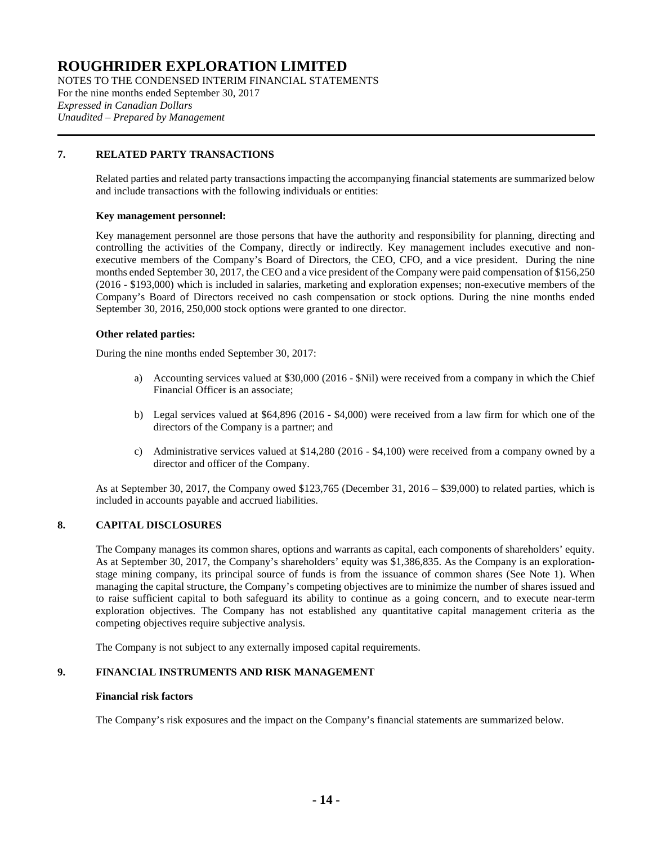NOTES TO THE CONDENSED INTERIM FINANCIAL STATEMENTS For the nine months ended September 30, 2017 *Expressed in Canadian Dollars Unaudited – Prepared by Management*

### **7. RELATED PARTY TRANSACTIONS**

Related parties and related party transactions impacting the accompanying financial statements are summarized below and include transactions with the following individuals or entities:

### **Key management personnel:**

Key management personnel are those persons that have the authority and responsibility for planning, directing and controlling the activities of the Company, directly or indirectly. Key management includes executive and nonexecutive members of the Company's Board of Directors, the CEO, CFO, and a vice president. During the nine months ended September 30, 2017, the CEO and a vice president of the Company were paid compensation of \$156,250 (2016 - \$193,000) which is included in salaries, marketing and exploration expenses; non-executive members of the Company's Board of Directors received no cash compensation or stock options. During the nine months ended September 30, 2016, 250,000 stock options were granted to one director.

### **Other related parties:**

During the nine months ended September 30, 2017:

- a) Accounting services valued at \$30,000 (2016 \$Nil) were received from a company in which the Chief Financial Officer is an associate;
- b) Legal services valued at \$64,896 (2016 \$4,000) were received from a law firm for which one of the directors of the Company is a partner; and
- c) Administrative services valued at \$14,280 (2016 \$4,100) were received from a company owned by a director and officer of the Company.

As at September 30, 2017, the Company owed \$123,765 (December 31, 2016 – \$39,000) to related parties, which is included in accounts payable and accrued liabilities.

### **8. CAPITAL DISCLOSURES**

The Company manages its common shares, options and warrants as capital, each components of shareholders' equity. As at September 30, 2017, the Company's shareholders' equity was \$1,386,835. As the Company is an explorationstage mining company, its principal source of funds is from the issuance of common shares (See Note 1). When managing the capital structure, the Company's competing objectives are to minimize the number of shares issued and to raise sufficient capital to both safeguard its ability to continue as a going concern, and to execute near-term exploration objectives. The Company has not established any quantitative capital management criteria as the competing objectives require subjective analysis.

The Company is not subject to any externally imposed capital requirements.

### **9. FINANCIAL INSTRUMENTS AND RISK MANAGEMENT**

#### **Financial risk factors**

The Company's risk exposures and the impact on the Company's financial statements are summarized below.